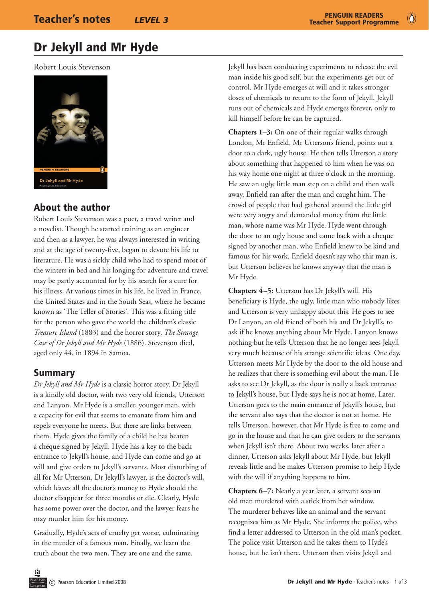# Dr Jekyll and Mr Hyde

Robert Louis Stevenson



## About the author

Robert Louis Stevenson was a poet, a travel writer and a novelist. Though he started training as an engineer and then as a lawyer, he was always interested in writing and at the age of twenty-five, began to devote his life to literature. He was a sickly child who had to spend most of the winters in bed and his longing for adventure and travel may be partly accounted for by his search for a cure for his illness. At various times in his life, he lived in France, the United States and in the South Seas, where he became known as 'The Teller of Stories'. This was a fitting title for the person who gave the world the children's classic *Treasure Island* (1883) and the horror story, *The Strange Case of Dr Jekyll and Mr Hyde* (1886). Stevenson died, aged only 44, in 1894 in Samoa.

#### Summary

*Dr Jekyll and Mr Hyde* is a classic horror story. Dr Jekyll is a kindly old doctor, with two very old friends, Utterson and Lanyon. Mr Hyde is a smaller, younger man, with a capacity for evil that seems to emanate from him and repels everyone he meets. But there are links between them. Hyde gives the family of a child he has beaten a cheque signed by Jekyll. Hyde has a key to the back entrance to Jekyll's house, and Hyde can come and go at will and give orders to Jekyll's servants. Most disturbing of all for Mr Utterson, Dr Jekyll's lawyer, is the doctor's will, which leaves all the doctor's money to Hyde should the doctor disappear for three months or die. Clearly, Hyde has some power over the doctor, and the lawyer fears he may murder him for his money.

Gradually, Hyde's acts of cruelty get worse, culminating in the murder of a famous man. Finally, we learn the truth about the two men. They are one and the same.

Jekyll has been conducting experiments to release the evil man inside his good self, but the experiments get out of control. Mr Hyde emerges at will and it takes stronger doses of chemicals to return to the form of Jekyll. Jekyll runs out of chemicals and Hyde emerges forever, only to kill himself before he can be captured.

**Chapters 1–3:** On one of their regular walks through London, Mr Enfield, Mr Utterson's friend, points out a door to a dark, ugly house. He then tells Utterson a story about something that happened to him when he was on his way home one night at three o'clock in the morning. He saw an ugly, little man step on a child and then walk away. Enfield ran after the man and caught him. The crowd of people that had gathered around the little girl were very angry and demanded money from the little man, whose name was Mr Hyde. Hyde went through the door to an ugly house and came back with a cheque signed by another man, who Enfield knew to be kind and famous for his work. Enfield doesn't say who this man is, but Utterson believes he knows anyway that the man is Mr Hyde.

**Chapters 4–5:** Utterson has Dr Jekyll's will. His beneficiary is Hyde, the ugly, little man who nobody likes and Utterson is very unhappy about this. He goes to see Dr Lanyon, an old friend of both his and Dr Jekyll's, to ask if he knows anything about Mr Hyde. Lanyon knows nothing but he tells Utterson that he no longer sees Jekyll very much because of his strange scientific ideas. One day, Utterson meets Mr Hyde by the door to the old house and he realizes that there is something evil about the man. He asks to see Dr Jekyll, as the door is really a back entrance to Jekyll's house, but Hyde says he is not at home. Later, Utterson goes to the main entrance of Jekyll's house, but the servant also says that the doctor is not at home. He tells Utterson, however, that Mr Hyde is free to come and go in the house and that he can give orders to the servants when Jekyll isn't there. About two weeks, later after a dinner, Utterson asks Jekyll about Mr Hyde, but Jekyll reveals little and he makes Utterson promise to help Hyde with the will if anything happens to him.

**Chapters 6–7:** Nearly a year later, a servant sees an old man murdered with a stick from her window. The murderer behaves like an animal and the servant recognizes him as Mr Hyde. She informs the police, who find a letter addressed to Utterson in the old man's pocket. The police visit Utterson and he takes them to Hyde's house, but he isn't there. Utterson then visits Jekyll and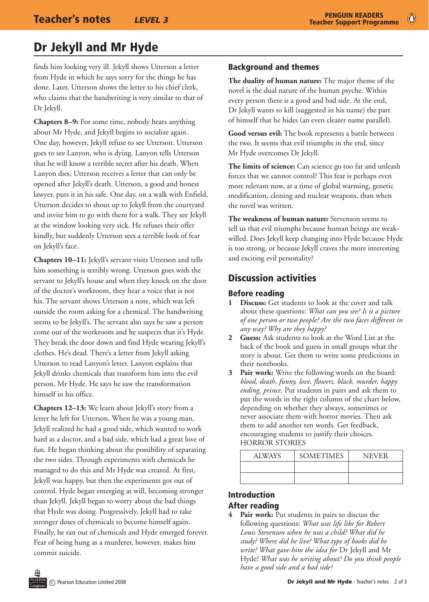# Dr Jekyll and Mr Hyde

finds him looking very ill. Jekyll shows Utterson a letter from Hyde in which he says sorry for the things he has done. Later, Utterson shows the letter to his chief clerk, who claims that the handwriting is very similar to that of Dr Jekyll.

**Chapters 8–9:** For some time, nobody hears anything about Mr Hyde, and Jekyll begins to socialize again. One day, however, Jekyll refuse to see Utterson. Utterson goes to see Lanyon, who is dying. Lanyon tells Utterson that he will know a terrible secret after his death. When Lanyon dies, Utterson receives a letter that can only be opened after Jekyll's death. Utterson, a good and honest lawyer, puts it in his safe. One day, on a walk with Enfield, Utterson decides to shout up to Jekyll from the courtyard and invite him to go with them for a walk. They see Jekyll at the window looking very sick. He refuses their offer kindly, but suddenly Utterson sees a terrible look of fear on Jekyll's face.

**Chapters 10–11:** Jekyll's servant visits Utterson and tells him something is terribly wrong. Utterson goes with the servant to Jekyll's house and when they knock on the door of the doctor's workroom, they hear a voice that is not his. The servant shows Utterson a note, which was left outside the room asking for a chemical. The handwriting seems to be Jekyll's. The servant also says he saw a person come out of the workroom and he suspects that it's Hyde. They break the door down and find Hyde wearing Jekyll's clothes. He's dead. There's a letter from Jekyll asking Utterson to read Lanyon's letter. Lanyon explains that Jekyll drinks chemicals that transform him into the evil person, Mr Hyde. He says he saw the transformation himself in his office.

**Chapters 12–13:** We learn about Jekyll's story from a letter he left for Utterson. When he was a young man, Jekyll realized he had a good side, which wanted to work hard as a doctor, and a bad side, which had a great love of fun. He began thinking about the possibility of separating the two sides. Through experiments with chemicals he managed to do this and Mr Hyde was created. At first, Jekyll was happy, but then the experiments got out of control. Hyde began emerging at will, becoming stronger than Jekyll. Jekyll began to worry about the bad things that Hyde was doing. Progressively, Jekyll had to take stronger doses of chemicals to become himself again. Finally, he ran out of chemicals and Hyde emerged forever. Fear of being hung as a murderer, however, makes him commit suicide.

#### Background and themes

**The duality of human nature:** The major theme of the novel is the dual nature of the human psyche. Within every person there is a good and bad side. At the end, Dr Jekyll wants to kill (suggested in his name) the part of himself that he hides (an even clearer name parallel).

**Good versus evil:** The book represents a battle between the two. It seems that evil triumphs in the end, since Mr Hyde overcomes Dr Jekyll.

**The limits of science:** Can science go too far and unleash forces that we cannot control? This fear is perhaps even more relevant now, at a time of global warming, genetic modification, cloning and nuclear weapons, than when the novel was written.

**The weakness of human nature:** Stevenson seems to tell us that evil triumphs because human beings are weakwilled. Does Jekyll keep changing into Hyde because Hyde is too strong, or because Jekyll craves the more interesting and exciting evil personality?

### Discussion activities

#### Before reading

- **1 Discuss:** Get students to look at the cover and talk about these questions: *What can you see? Is it a picture of one person or two people? Are the two faces different in any way? Why are they happy?*
- **2 Guess:** Ask students to look at the Word List at the back of the book and guess in small groups what the story is about. Get them to write some predictions in their notebooks.
- **3 Pair work:** Write the following words on the board: *blood, death, funny, love, flowers, black, murder, happy ending, prince*. Put students in pairs and ask them to put the words in the right column of the chart below, depending on whether they always, sometimes or never associate them with horror movies. Then ask them to add another ten words. Get feedback, encouraging students to justify their choices. HORROR STORIES

| <b>ALWAYS</b> | <b>SOMETIMES</b> | <b>NEVER</b> |
|---------------|------------------|--------------|
|               |                  |              |
|               |                  |              |

#### Introduction After reading

**4 Pair work:** Put students in pairs to discuss the following questions: *What was life like for Robert Louis Stevenson when he was a child? What did he study? Where did he live? What type of books did he write? What gave him the idea for* Dr Jekyll and Mr Hyde? *What was he writing about? Do you think people have a good side and a bad side?*